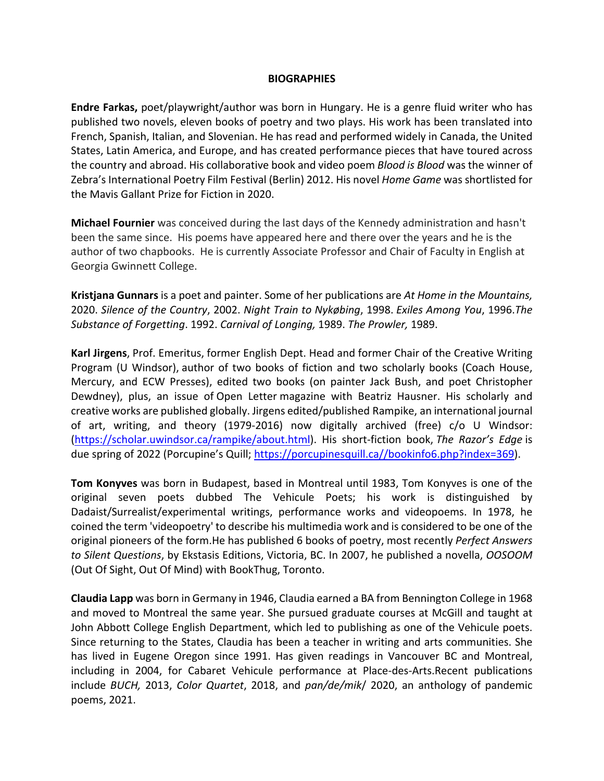## **BIOGRAPHIES**

**Endre Farkas,** poet/playwright/author was born in Hungary. He is a genre fluid writer who has published two novels, eleven books of poetry and two plays. His work has been translated into French, Spanish, Italian, and Slovenian. He has read and performed widely in Canada, the United States, Latin America, and Europe, and has created performance pieces that have toured across the country and abroad. His collaborative book and video poem *Blood is Blood* was the winner of Zebra's International Poetry Film Festival (Berlin) 2012. His novel *Home Game* was shortlisted for the Mavis Gallant Prize for Fiction in 2020.

**Michael Fournier** was conceived during the last days of the Kennedy administration and hasn't been the same since. His poems have appeared here and there over the years and he is the author of two chapbooks. He is currently Associate Professor and Chair of Faculty in English at Georgia Gwinnett College.

**Kristjana Gunnars** is a poet and painter. Some of her publications are *At Home in the Mountains,*  2020. *Silence of the Country*, 2002. *Night Train to Nykøbing*, 1998. *Exiles Among You*, 1996.*The Substance of Forgetting*. 1992. *Carnival of Longing,* 1989. *The Prowler,* 1989.

**Karl Jirgens**, Prof. Emeritus, former English Dept. Head and former Chair of the Creative Writing Program (U Windsor), author of two books of fiction and two scholarly books (Coach House, Mercury, and ECW Presses), edited two books (on painter Jack Bush, and poet Christopher Dewdney), plus, an issue of Open Letter magazine with Beatriz Hausner. His scholarly and creative works are published globally. Jirgens edited/published Rampike, an international journal of art, writing, and theory (1979-2016) now digitally archived (free) c/o U Windsor: (https://scholar.uwindsor.ca/rampike/about.html). His short-fiction book, *The Razor's Edge* is due spring of 2022 (Porcupine's Quill; https://porcupinesquill.ca//bookinfo6.php?index=369).

**Tom Konyves** was born in Budapest, based in Montreal until 1983, Tom Konyves is one of the original seven poets dubbed The Vehicule Poets; his work is distinguished by Dadaist/Surrealist/experimental writings, performance works and videopoems. In 1978, he coined the term 'videopoetry' to describe his multimedia work and is considered to be one of the original pioneers of the form.He has published 6 books of poetry, most recently *Perfect Answers to Silent Questions*, by Ekstasis Editions, Victoria, BC. In 2007, he published a novella, *OOSOOM* (Out Of Sight, Out Of Mind) with BookThug, Toronto.

**Claudia Lapp** was born in Germany in 1946, Claudia earned a BA from Bennington College in 1968 and moved to Montreal the same year. She pursued graduate courses at McGill and taught at John Abbott College English Department, which led to publishing as one of the Vehicule poets. Since returning to the States, Claudia has been a teacher in writing and arts communities. She has lived in Eugene Oregon since 1991. Has given readings in Vancouver BC and Montreal, including in 2004, for Cabaret Vehicule performance at Place-des-Arts.Recent publications include *BUCH,* 2013, *Color Quartet*, 2018, and *pan/de/mik*/ 2020, an anthology of pandemic poems, 2021.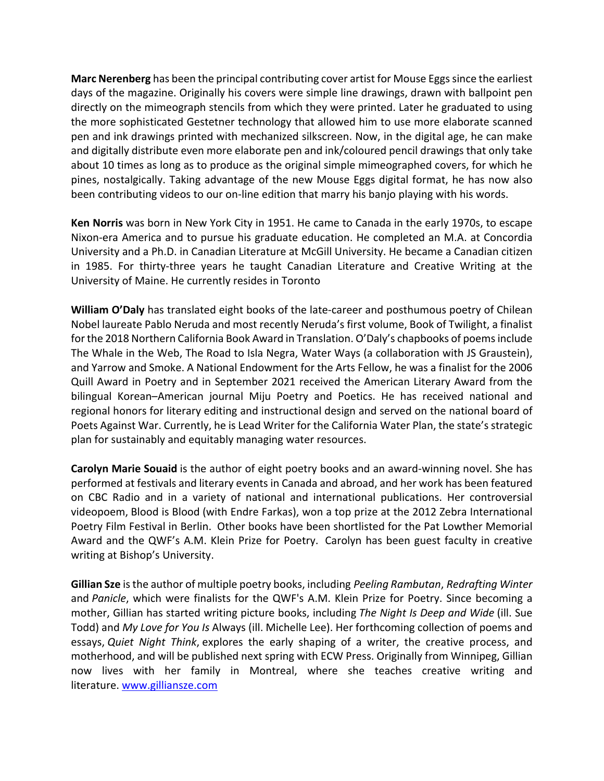**Marc Nerenberg** has been the principal contributing cover artist for Mouse Eggs since the earliest days of the magazine. Originally his covers were simple line drawings, drawn with ballpoint pen directly on the mimeograph stencils from which they were printed. Later he graduated to using the more sophisticated Gestetner technology that allowed him to use more elaborate scanned pen and ink drawings printed with mechanized silkscreen. Now, in the digital age, he can make and digitally distribute even more elaborate pen and ink/coloured pencil drawings that only take about 10 times as long as to produce as the original simple mimeographed covers, for which he pines, nostalgically. Taking advantage of the new Mouse Eggs digital format, he has now also been contributing videos to our on-line edition that marry his banjo playing with his words.

**Ken Norris** was born in New York City in 1951. He came to Canada in the early 1970s, to escape Nixon-era America and to pursue his graduate education. He completed an M.A. at Concordia University and a Ph.D. in Canadian Literature at McGill University. He became a Canadian citizen in 1985. For thirty-three years he taught Canadian Literature and Creative Writing at the University of Maine. He currently resides in Toronto

**William O'Daly** has translated eight books of the late-career and posthumous poetry of Chilean Nobel laureate Pablo Neruda and most recently Neruda's first volume, Book of Twilight, a finalist for the 2018 Northern California Book Award in Translation. O'Daly's chapbooks of poems include The Whale in the Web, The Road to Isla Negra, Water Ways (a collaboration with JS Graustein), and Yarrow and Smoke. A National Endowment for the Arts Fellow, he was a finalist for the 2006 Quill Award in Poetry and in September 2021 received the American Literary Award from the bilingual Korean–American journal Miju Poetry and Poetics. He has received national and regional honors for literary editing and instructional design and served on the national board of Poets Against War. Currently, he is Lead Writer for the California Water Plan, the state's strategic plan for sustainably and equitably managing water resources.

**Carolyn Marie Souaid** is the author of eight poetry books and an award-winning novel. She has performed at festivals and literary events in Canada and abroad, and her work has been featured on CBC Radio and in a variety of national and international publications. Her controversial videopoem, Blood is Blood (with Endre Farkas), won a top prize at the 2012 Zebra International Poetry Film Festival in Berlin. Other books have been shortlisted for the Pat Lowther Memorial Award and the QWF's A.M. Klein Prize for Poetry. Carolyn has been guest faculty in creative writing at Bishop's University.

**Gillian Sze** is the author of multiple poetry books, including *Peeling Rambutan*, *Redrafting Winter*  and *Panicle*, which were finalists for the QWF's A.M. Klein Prize for Poetry. Since becoming a mother, Gillian has started writing picture books, including *The Night Is Deep and Wide* (ill. Sue Todd) and *My Love for You Is* Always (ill. Michelle Lee). Her forthcoming collection of poems and essays, *Quiet Night Think*, explores the early shaping of a writer, the creative process, and motherhood, and will be published next spring with ECW Press. Originally from Winnipeg, Gillian now lives with her family in Montreal, where she teaches creative writing and literature. www.gilliansze.com